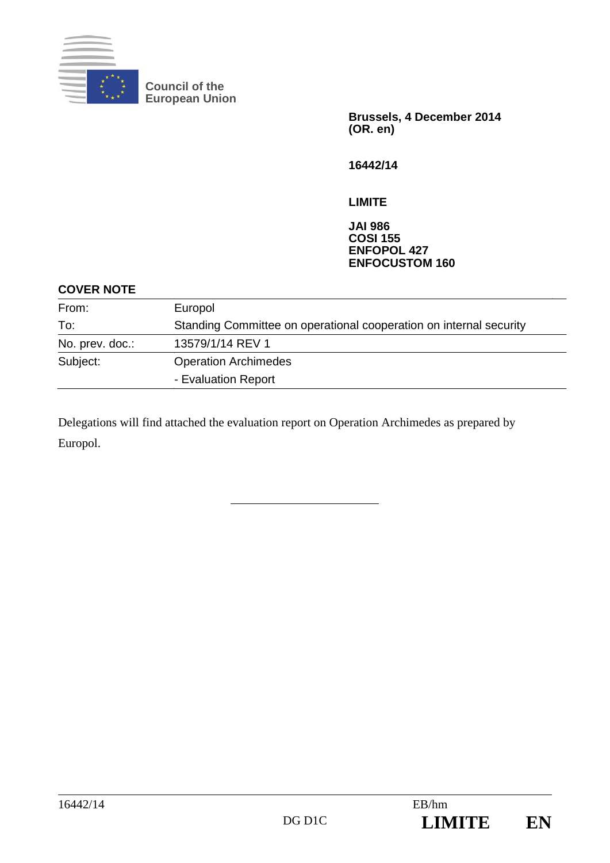

**Council of the European Union** 

> **Brussels, 4 December 2014 (OR. en)**

**16442/14** 

**LIMITE** 

#### **JAI 986 COSI 155 ENFOPOL 427 ENFOCUSTOM 160**

#### **COVER NOTE**

| From:           | Europol                                                            |
|-----------------|--------------------------------------------------------------------|
| To:             | Standing Committee on operational cooperation on internal security |
| No. prev. doc.: | 13579/1/14 REV 1                                                   |
| Subject:        | <b>Operation Archimedes</b>                                        |
|                 | - Evaluation Report                                                |

Delegations will find attached the evaluation report on Operation Archimedes as prepared by Europol.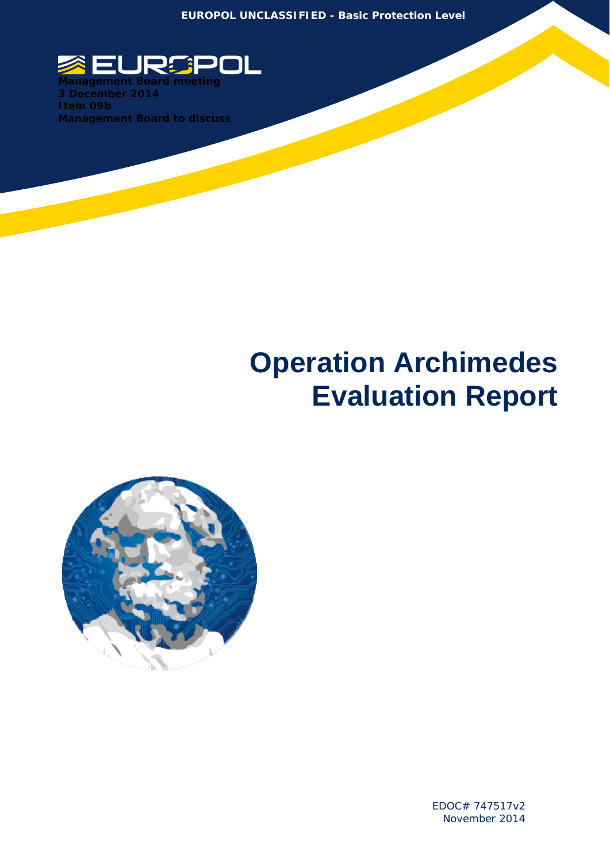**EUROPOL UNCLASSIFIED - Basic Protection Level** 



**3 December 2014 Item 09b Management Board to discuss** 

í

# **Operation Archimedes Evaluation Report**



EDOC# 747517v2 November 2014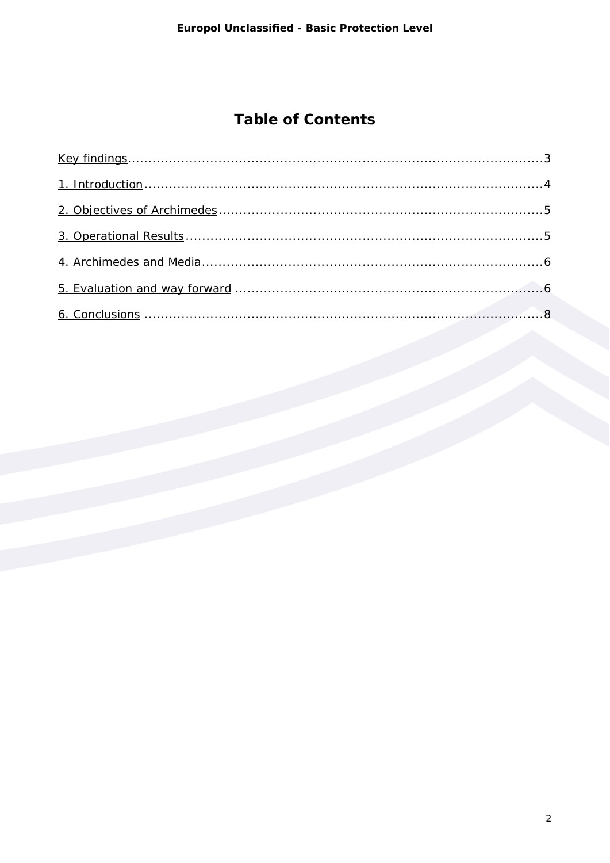# **Table of Contents**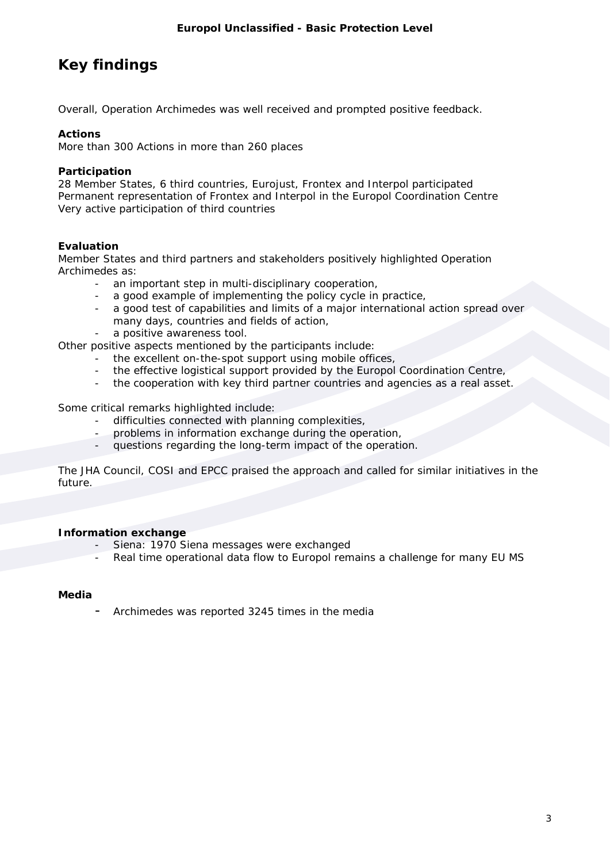# **Key findings**

Overall, Operation Archimedes was well received and prompted positive feedback.

#### **Actions**

More than 300 Actions in more than 260 places

#### **Participation**

28 Member States, 6 third countries, Eurojust, Frontex and Interpol participated Permanent representation of Frontex and Interpol in the Europol Coordination Centre Very active participation of third countries

#### **Evaluation**

Member States and third partners and stakeholders positively highlighted Operation Archimedes as:

- an important step in multi-disciplinary cooperation,
	- a good example of implementing the policy cycle in practice,
	- a good test of capabilities and limits of a major international action spread over many days, countries and fields of action,
	- a positive awareness tool.

Other positive aspects mentioned by the participants include:

- the excellent on-the-spot support using mobile offices,
- the effective logistical support provided by the Europol Coordination Centre,
- the cooperation with key third partner countries and agencies as a real asset.

Some critical remarks highlighted include:

- difficulties connected with planning complexities,
- problems in information exchange during the operation,
- questions regarding the long-term impact of the operation.

The JHA Council, COSI and EPCC praised the approach and called for similar initiatives in the future.

#### **Information exchange**

- Siena: 1970 Siena messages were exchanged
- Real time operational data flow to Europol remains a challenge for many EU MS

#### **Media**

Archimedes was reported 3245 times in the media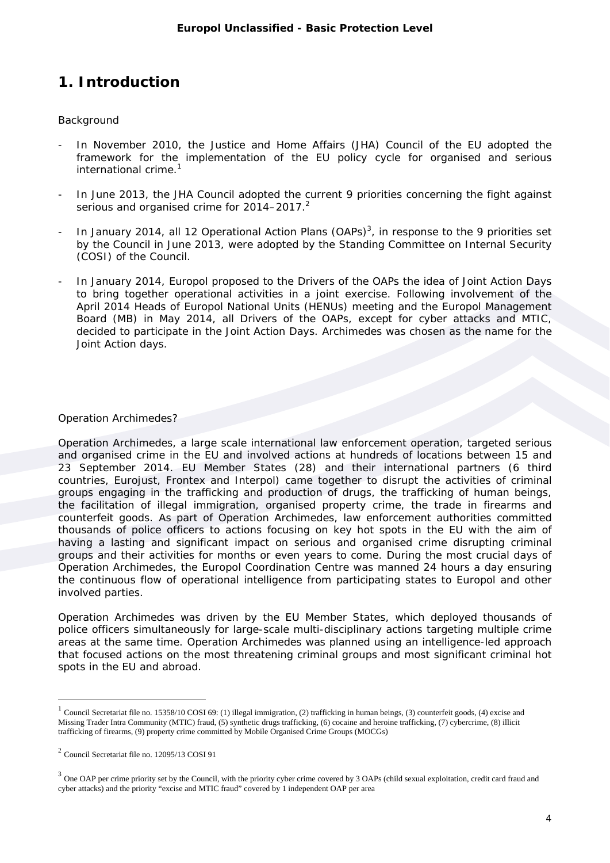## **1. Introduction**

#### **Background**

- In November 2010, the Justice and Home Affairs (JHA) Council of the EU adopted the framework for the implementation of the EU policy cycle for organised and serious international crime.<sup>1</sup>
- In June 2013, the JHA Council adopted the current 9 priorities concerning the fight against serious and organised crime for  $2014-2017$ .
- In January 2014, all 12 Operational Action Plans (OAPs)<sup>3</sup>, in response to the 9 priorities set by the Council in June 2013, were adopted by the Standing Committee on Internal Security (COSI) of the Council.
- In January 2014, Europol proposed to the Drivers of the OAPs the idea of Joint Action Days to bring together operational activities in a joint exercise. Following involvement of the April 2014 Heads of Europol National Units (HENUs) meeting and the Europol Management Board (MB) in May 2014, all Drivers of the OAPs, except for cyber attacks and MTIC, decided to participate in the Joint Action Days. Archimedes was chosen as the name for the Joint Action days.

#### Operation Archimedes?

Operation Archimedes, a large scale international law enforcement operation, targeted serious and organised crime in the EU and involved actions at hundreds of locations between 15 and 23 September 2014. EU Member States (28) and their international partners (6 third countries, Eurojust, Frontex and Interpol) came together to disrupt the activities of criminal groups engaging in the trafficking and production of drugs, the trafficking of human beings, the facilitation of illegal immigration, organised property crime, the trade in firearms and counterfeit goods. As part of Operation Archimedes, law enforcement authorities committed thousands of police officers to actions focusing on key hot spots in the EU with the aim of having a lasting and significant impact on serious and organised crime disrupting criminal groups and their activities for months or even years to come. During the most crucial days of Operation Archimedes, the Europol Coordination Centre was manned 24 hours a day ensuring the continuous flow of operational intelligence from participating states to Europol and other involved parties.

Operation Archimedes was driven by the EU Member States, which deployed thousands of police officers simultaneously for large-scale multi-disciplinary actions targeting multiple crime areas at the same time. Operation Archimedes was planned using an intelligence-led approach that focused actions on the most threatening criminal groups and most significant criminal hot spots in the EU and abroad.

 $\overline{a}$ 

 $1$  Council Secretariat file no. 15358/10 COSI 69: (1) illegal immigration, (2) trafficking in human beings, (3) counterfeit goods, (4) excise and Missing Trader Intra Community (MTIC) fraud, (5) synthetic drugs trafficking, (6) cocaine and heroine trafficking, (7) cybercrime, (8) illicit trafficking of firearms, (9) property crime committed by Mobile Organised Crime Groups (MOCGs)

<sup>2</sup> Council Secretariat file no. 12095/13 COSI 91

 $3$  One OAP per crime priority set by the Council, with the priority cyber crime covered by  $3$  OAPs (child sexual exploitation, credit card fraud and cyber attacks) and the priority "excise and MTIC fraud" covered by 1 independent OAP per area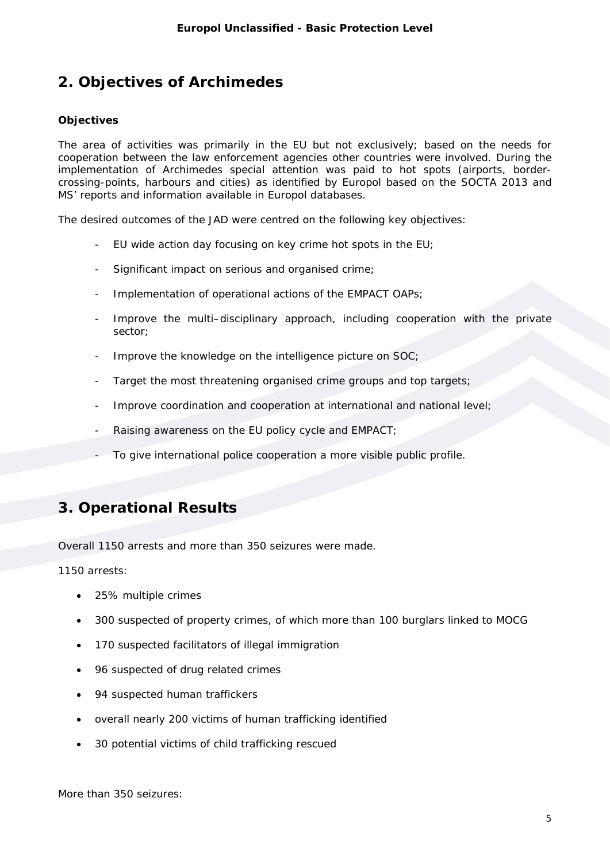## **2. Objectives of Archimedes**

#### **Objectives**

The area of activities was primarily in the EU but not exclusively; based on the needs for cooperation between the law enforcement agencies other countries were involved. During the implementation of Archimedes special attention was paid to hot spots (airports, bordercrossing-points, harbours and cities) as identified by Europol based on the SOCTA 2013 and MS' reports and information available in Europol databases.

The desired outcomes of the JAD were centred on the following key objectives:

- EU wide action day focusing on key crime hot spots in the EU;
- Significant impact on serious and organised crime;
- Implementation of operational actions of the EMPACT OAPs;
- Improve the multi-disciplinary approach, including cooperation with the private sector;
- Improve the knowledge on the intelligence picture on SOC;
- Target the most threatening organised crime groups and top targets;
- Improve coordination and cooperation at international and national level;
- Raising awareness on the EU policy cycle and EMPACT;
- To give international police cooperation a more visible public profile.

## **3. Operational Results**

Overall 1150 arrests and more than 350 seizures were made.

1150 arrests:

- 25% multiple crimes
- 300 suspected of property crimes, of which more than 100 burglars linked to MOCG
- 170 suspected facilitators of illegal immigration
- 96 suspected of drug related crimes
- 94 suspected human traffickers
- overall nearly 200 victims of human trafficking identified
- 30 potential victims of child trafficking rescued

More than 350 seizures: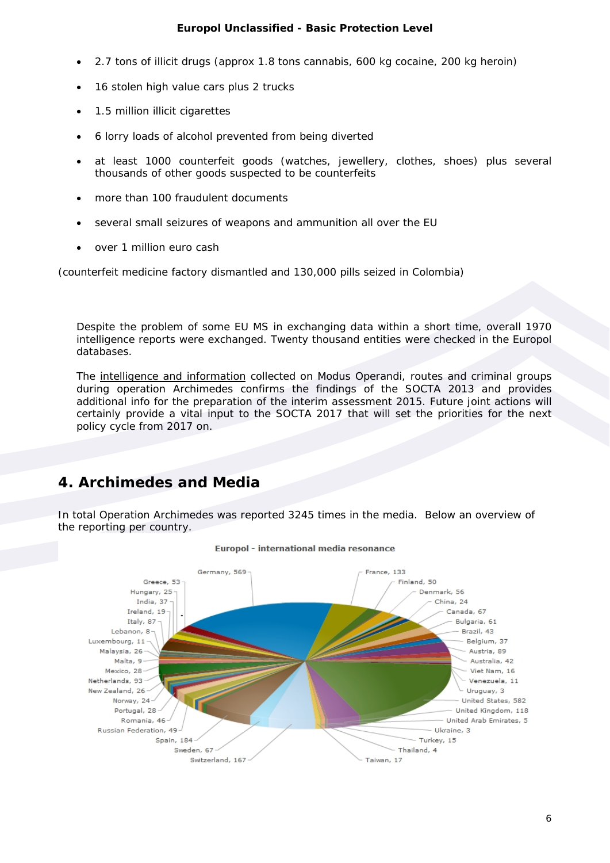#### **Europol Unclassified - Basic Protection Level**

- 2.7 tons of illicit drugs (approx 1.8 tons cannabis, 600 kg cocaine, 200 kg heroin)
- 16 stolen high value cars plus 2 trucks
- 1.5 million illicit cigarettes
- 6 lorry loads of alcohol prevented from being diverted
- at least 1000 counterfeit goods (watches, jewellery, clothes, shoes) plus several thousands of other goods suspected to be counterfeits
- more than 100 fraudulent documents
- several small seizures of weapons and ammunition all over the EU
- over 1 million euro cash

(counterfeit medicine factory dismantled and 130,000 pills seized in Colombia)

Despite the problem of some EU MS in exchanging data within a short time, overall 1970 intelligence reports were exchanged. Twenty thousand entities were checked in the Europol databases.

The intelligence and information collected on Modus Operandi, routes and criminal groups during operation Archimedes confirms the findings of the SOCTA 2013 and provides additional info for the preparation of the interim assessment 2015. Future joint actions will certainly provide a vital input to the SOCTA 2017 that will set the priorities for the next policy cycle from 2017 on.

## **4. Archimedes and Media**

In total Operation Archimedes was reported 3245 times in the media. Below an overview of the reporting per country.



#### Europol - international media resonance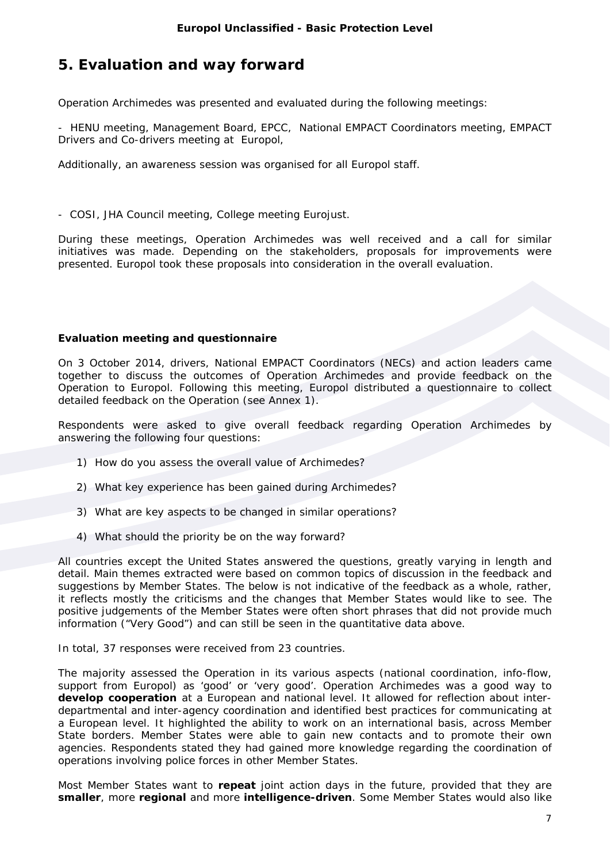## **5. Evaluation and way forward**

Operation Archimedes was presented and evaluated during the following meetings:

- HENU meeting, Management Board, EPCC, National EMPACT Coordinators meeting, EMPACT Drivers and Co-drivers meeting at Europol,

Additionally, an awareness session was organised for all Europol staff.

- COSI, JHA Council meeting, College meeting Eurojust.

During these meetings, Operation Archimedes was well received and a call for similar initiatives was made. Depending on the stakeholders, proposals for improvements were presented. Europol took these proposals into consideration in the overall evaluation.

#### **Evaluation meeting and questionnaire**

On 3 October 2014, drivers, National EMPACT Coordinators (NECs) and action leaders came together to discuss the outcomes of Operation Archimedes and provide feedback on the Operation to Europol. Following this meeting, Europol distributed a questionnaire to collect detailed feedback on the Operation (see Annex 1).

Respondents were asked to give overall feedback regarding Operation Archimedes by answering the following four questions:

- 1) How do you assess the overall value of Archimedes?
- 2) What key experience has been gained during Archimedes?
- 3) What are key aspects to be changed in similar operations?
- 4) What should the priority be on the way forward?

All countries except the United States answered the questions, greatly varying in length and detail. Main themes extracted were based on common topics of discussion in the feedback and suggestions by Member States. The below is not indicative of the feedback as a whole, rather, it reflects mostly the criticisms and the changes that Member States would like to see. The positive judgements of the Member States were often short phrases that did not provide much information ("Very Good") and can still be seen in the quantitative data above.

In total, 37 responses were received from 23 countries.

The majority assessed the Operation in its various aspects (national coordination, info-flow, support from Europol) as 'good' or 'very good'. Operation Archimedes was a good way to **develop cooperation** at a European and national level. It allowed for reflection about interdepartmental and inter-agency coordination and identified best practices for communicating at a European level. It highlighted the ability to work on an international basis, across Member State borders. Member States were able to gain new contacts and to promote their own agencies. Respondents stated they had gained more knowledge regarding the coordination of operations involving police forces in other Member States.

Most Member States want to **repeat** joint action days in the future, provided that they are **smaller**, more **regional** and more **intelligence-driven**. Some Member States would also like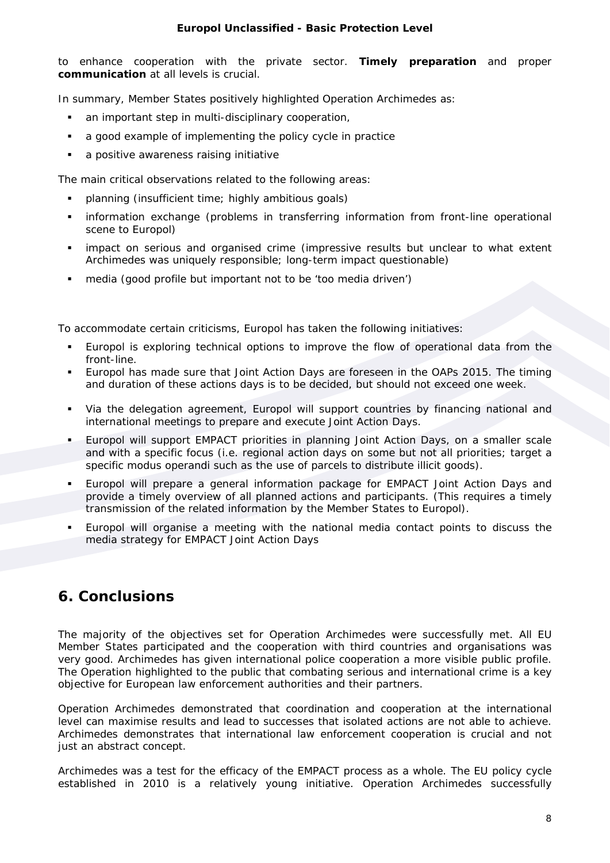#### **Europol Unclassified - Basic Protection Level**

to enhance cooperation with the private sector. **Timely preparation** and proper **communication** at all levels is crucial.

In summary, Member States positively highlighted Operation Archimedes as:

- an important step in multi-disciplinary cooperation,
- a good example of implementing the policy cycle in practice
- a positive awareness raising initiative

The main critical observations related to the following areas:

- planning (insufficient time; highly ambitious goals)
- **·** information exchange (problems in transferring information from front-line operational scene to Europol)
- impact on serious and organised crime (impressive results but unclear to what extent Archimedes was uniquely responsible; long-term impact questionable)
- media (good profile but important not to be 'too media driven')

To accommodate certain criticisms, Europol has taken the following initiatives:

- Europol is exploring technical options to improve the flow of operational data from the front-line.
- Europol has made sure that Joint Action Days are foreseen in the OAPs 2015. The timing and duration of these actions days is to be decided, but should not exceed one week.
- Via the delegation agreement, Europol will support countries by financing national and international meetings to prepare and execute Joint Action Days.
- Europol will support EMPACT priorities in planning Joint Action Days, on a smaller scale and with a specific focus (i.e. regional action days on some but not all priorities; target a specific modus operandi such as the use of parcels to distribute illicit goods).
- Europol will prepare a general information package for EMPACT Joint Action Days and provide a timely overview of all planned actions and participants. (This requires a timely transmission of the related information by the Member States to Europol).
- Europol will organise a meeting with the national media contact points to discuss the media strategy for EMPACT Joint Action Days

## **6. Conclusions**

The majority of the objectives set for Operation Archimedes were successfully met. All EU Member States participated and the cooperation with third countries and organisations was very good. Archimedes has given international police cooperation a more visible public profile. The Operation highlighted to the public that combating serious and international crime is a key objective for European law enforcement authorities and their partners.

Operation Archimedes demonstrated that coordination and cooperation at the international level can maximise results and lead to successes that isolated actions are not able to achieve. Archimedes demonstrates that international law enforcement cooperation is crucial and not just an abstract concept.

Archimedes was a test for the efficacy of the EMPACT process as a whole. The EU policy cycle established in 2010 is a relatively young initiative. Operation Archimedes successfully